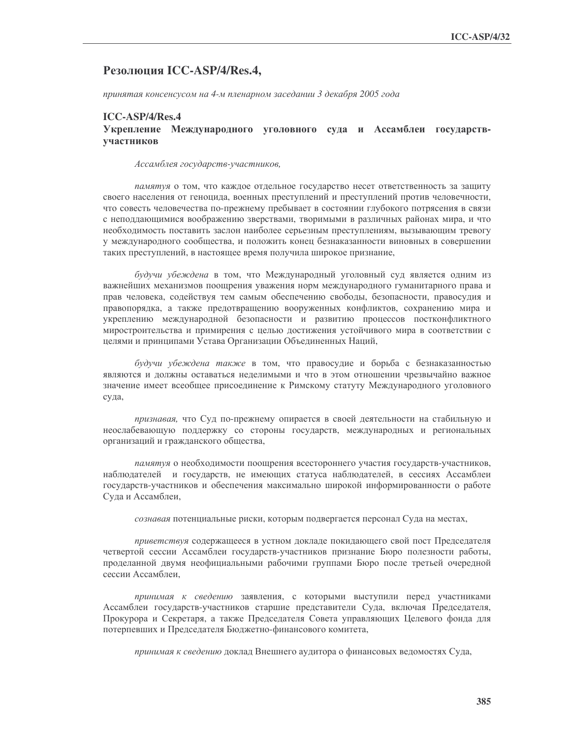# Резолюция ICC-ASP/4/Res.4,

принятая консенсусом на 4-м пленарном заседании 3 декабря 2005 года

# **ICC-ASP/4/Res.4** Укрепление Международного уголовного суда и Ассамблеи государствучастников

Ассамблея государств-участников,

памятуя о том, что каждое отдельное государство несет ответственность за защиту своего населения от геноцида, военных преступлений и преступлений против человечности, что совесть человечества по-прежнему пребывает в состоянии глубокого потрясения в связи с неподдающимися воображению зверствами, творимыми в различных районах мира, и что необходимость поставить заслон наиболее серьезным преступлениям, вызывающим тревогу у международного сообщества, и положить конец безнаказанности виновных в совершении таких преступлений, в настоящее время получила широкое признание,

будучи убеждена в том, что Международный уголовный суд является одним из важнейших механизмов поощрения уважения норм международного гуманитарного права и прав человека, содействуя тем самым обеспечению свободы, безопасности, правосудия и правопорядка, а также предотвращению вооруженных конфликтов, сохранению мира и укреплению международной безопасности и развитию процессов постконфликтного миростроительства и примирения с целью достижения устойчивого мира в соответствии с целями и принципами Устава Организации Объединенных Наций,

будучи убеждена также в том, что правосудие и борьба с безнаказанностью являются и должны оставаться неделимыми и что в этом отношении чрезвычайно важное значение имеет всеобщее присоединение к Римскому статуту Международного уголовного суда,

признавая, что Суд по-прежнему опирается в своей деятельности на стабильную и неослабевающую поддержку со стороны государств, международных и региональных организаций и гражданского общества,

памятуя о необходимости поощрения всестороннего участия государств-участников, наблюдателей и государств, не имеющих статуса наблюдателей, в сессиях Ассамблеи государств-участников и обеспечения максимально широкой информированности о работе Суда и Ассамблеи,

сознавая потенциальные риски, которым подвергается персонал Суда на местах,

приветствуя содержащееся в устном докладе покидающего свой пост Председателя четвертой сессии Ассамблеи государств-участников признание Бюро полезности работы, проделанной двумя неофициальными рабочими группами Бюро после третьей очередной сессии Ассамблеи,

принимая к сведению заявления, с которыми выступили перед участниками Ассамблеи государств-участников старшие представители Суда, включая Председателя, Прокурора и Секретаря, а также Председателя Совета управляющих Целевого фонда для потерпевших и Председателя Бюджетно-финансового комитета,

принимая к сведению доклад Внешнего аудитора о финансовых ведомостях Суда,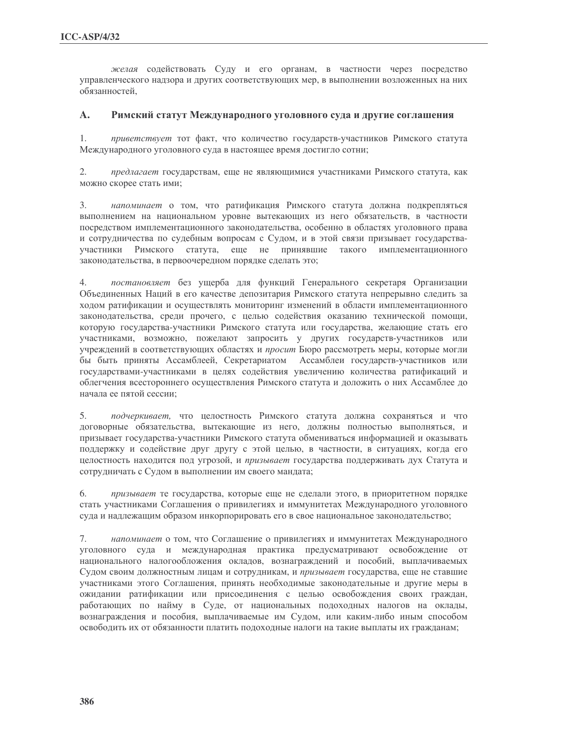желая содействовать Суду и его органам, в частности через посредство управленческого надзора и других соответствующих мер, в выполнении возложенных на них обязанностей.

#### $\mathbf{A}$ . Римский статут Международного уголовного суда и другие соглашения

приветствует тот факт, что количество государств-участников Римского статута  $\mathbf{1}$ Международного уголовного суда в настоящее время достигло сотни;

 $2.$ предлагает государствам, еще не являющимися участниками Римского статута, как можно скорее стать ими;

 $3.$ напоминает о том, что ратификация Римского статута должна подкрепляться выполнением на национальном уровне вытекающих из него обязательств, в частности посредством имплементационного законодательства, особенно в областях уголовного права и сотрудничества по судебным вопросам с Судом, и в этой связи призывает государстваучастники Римского статута, еще не принявшие такого имплементационного законодательства, в первоочередном порядке сделать это;

 $4.$ постановляет без ущерба для функций Генерального секретаря Организации Объединенных Наций в его качестве депозитария Римского статута непрерывно следить за ходом ратификации и осуществлять мониторинг изменений в области имплементационного законодательства, среди прочего, с целью содействия оказанию технической помощи, которую государства-участники Римского статута или государства, желающие стать его участниками, возможно, пожелают запросить у других государств-участников или учреждений в соответствующих областях и просит Бюро рассмотреть меры, которые могли бы быть приняты Ассамблеей, Секретариатом Ассамблеи государств-участников или государствами-участниками в целях содействия увеличению количества ратификаций и облегчения всестороннего осуществления Римского статута и доложить о них Ассамблее до начала ее пятой сессии;

 $5<sub>1</sub>$ подчеркивает, что целостность Римского статута должна сохраняться и что договорные обязательства, вытекающие из него, должны полностью выполняться, и призывает государства-участники Римского статута обмениваться информацией и оказывать поддержку и содействие друг другу с этой целью, в частности, в ситуациях, когда его целостность находится под угрозой, и призывает государства поддерживать дух Статута и сотрудничать с Судом в выполнении им своего мандата;

призывает те государства, которые еще не сделали этого, в приоритетном порядке 6. стать участниками Соглашения о привилегиях и иммунитетах Международного уголовного суда и надлежащим образом инкорпорировать его в свое национальное законодательство;

 $7.$ напоминает о том, что Соглашение о привилегиях и иммунитетах Международного уголовного суда и международная практика предусматривают освобождение от национального налогообложения окладов, вознаграждений и пособий, выплачиваемых Судом своим должностным лицам и сотрудникам, и призывает государства, еще не ставшие участниками этого Соглашения, принять необходимые законодательные и другие меры в ожидании ратификации или присоединения с целью освобождения своих граждан, работающих по найму в Суде, от национальных подоходных налогов на оклады, вознаграждения и пособия, выплачиваемые им Судом, или каким-либо иным способом освободить их от обязанности платить подоходные налоги на такие выплаты их гражданам;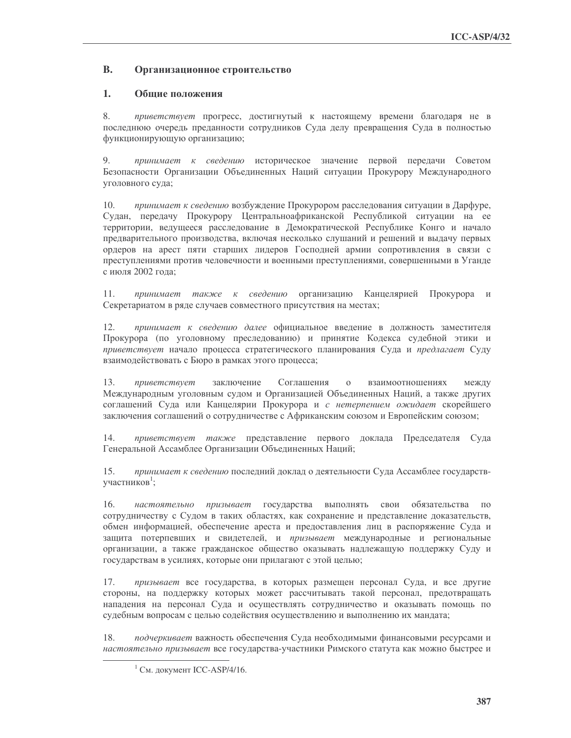#### $\mathbf{R}$ . Организационное строительство

#### 1. Обшие положения

8. приветствует прогресс, достигнутый к настоящему времени благодаря не в последнюю очередь преданности сотрудников Суда делу превращения Суда в полностью функционирующую организацию;

9. принимает к сведению историческое значение первой передачи Советом Безопасности Организации Объединенных Наций ситуации Прокурору Международного уголовного суда;

10. принимает к сведению возбуждение Прокурором расследования ситуации в Дарфуре, Судан, передачу Прокурору Центральноафриканской Республикой ситуации на ее территории, ведущееся расследование в Демократической Республике Конго и начало предварительного производства, включая несколько слушаний и решений и выдачу первых ордеров на арест пяти старших лидеров Господней армии сопротивления в связи с преступлениями против человечности и военными преступлениями, совершенными в Уганде с июля 2002 года:

11. принимает также к сведению организацию Канцелярией Прокурора и Секретариатом в ряде случаев совместного присутствия на местах;

12. принимает к сведению далее официальное введение в должность заместителя Прокурора (по уголовному преследованию) и принятие Кодекса судебной этики и приветствует начало процесса стратегического планирования Суда и предлагает Суду взаимодействовать с Бюро в рамках этого процесса;

13. приветствует заключение Соглашения  $\mathbf{O}$ взаимоотношениях между Международным уголовным судом и Организацией Объединенных Наций, а также других соглашений Суда или Канцелярии Прокурора и с нетерпением ожидает скорейшего заключения соглашений о сотрудничестве с Африканским союзом и Европейским союзом;

 $14.$ приветствует также представление первого доклада Председателя Суда Генеральной Ассамблее Организации Объединенных Наций;

15. принимает к сведению последний доклад о деятельности Суда Ассамблее государствучастников<sup>1</sup>;

16. настоятельно призывает государства выполнять свои обязательства по сотрудничеству с Судом в таких областях, как сохранение и представление доказательств, обмен информацией, обеспечение ареста и предоставления лиц в распоряжение Суда и защита потерпевших и свидетелей, и призывает международные и региональные организации, а также гражданское общество оказывать надлежащую поддержку Суду и государствам в усилиях, которые они прилагают с этой целью;

призывает все государства, в которых размещен персонал Суда, и все другие 17. стороны, на поддержку которых может рассчитывать такой персонал, предотвращать нападения на персонал Суда и осуществлять сотрудничество и оказывать помощь по судебным вопросам с целью содействия осуществлению и выполнению их мандата;

18. подчеркивает важность обеспечения Суда необходимыми финансовыми ресурсами и настоятельно призывает все государства-участники Римского статута как можно быстрее и

<sup>&</sup>lt;sup>1</sup> См. документ ICC-ASP/4/16.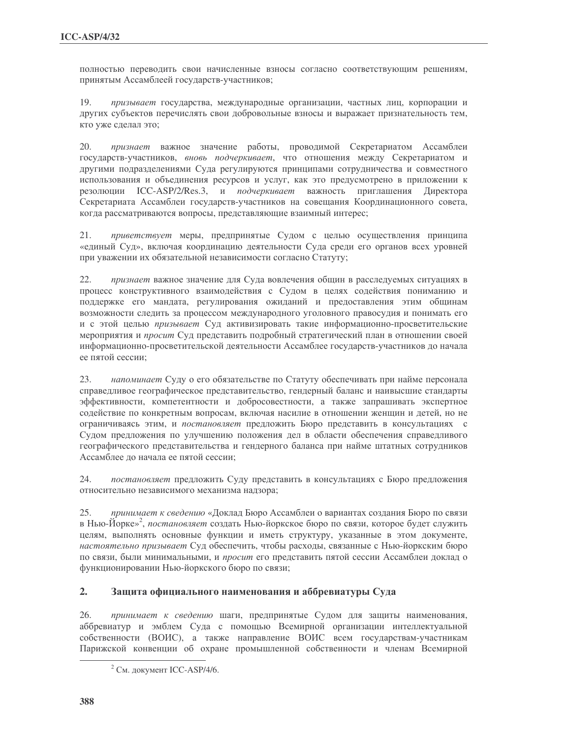полностью переводить свои начисленные взносы согласно соответствующим решениям, принятым Ассамблеей государств-участников;

19. призывает государства, международные организации, частных лиц, корпорации и других субъектов перечислять свои добровольные взносы и выражает признательность тем, кто уже сделал это;

 $20.$ признает важное значение работы, проводимой Секретариатом Ассамблеи государств-участников, вновь подчеркивает, что отношения между Секретариатом и другими подразделениями Суда регулируются принципами сотрудничества и совместного использования и объединения ресурсов и услуг, как это предусмотрено в приложении к резолюции ICC-ASP/2/Res.3, и подчеркивает важность приглашения Директора Секретариата Ассамблеи государств-участников на совещания Координационного совета, когда рассматриваются вопросы, представляющие взаимный интерес;

приветствует меры, предпринятые Судом с целью осуществления принципа 21. «единый Суд», включая координацию деятельности Суда среди его органов всех уровней при уважении их обязательной независимости согласно Статуту;

признает важное значение для Суда вовлечения общин в расследуемых ситуациях в 22. процесс конструктивного взаимодействия с Судом в целях содействия пониманию и поддержке его мандата, регулирования ожиданий и предоставления этим общинам возможности следить за процессом международного уголовного правосудия и понимать его и с этой целью призывает Суд активизировать такие информационно-просветительские мероприятия и просит Суд представить подробный стратегический план в отношении своей информационно-просветительской деятельности Ассамблее государств-участников до начала ее пятой сессии;

23. напоминает Суду о его обязательстве по Статуту обеспечивать при найме персонала справедливое географическое представительство, гендерный баланс и наивысшие стандарты эффективности, компетентности и добросовестности, а также запрашивать экспертное содействие по конкретным вопросам, включая насилие в отношении женщин и детей, но не ограничиваясь этим, и постановляет предложить Бюро представить в консультациях с Судом предложения по улучшению положения дел в области обеспечения справедливого географического представительства и гендерного баланса при найме штатных сотрудников Ассамблее до начала ее пятой сессии;

24. постановляет предложить Суду представить в консультациях с Бюро предложения относительно независимого механизма надзора;

принимает к сведению «Доклад Бюро Ассамблеи о вариантах создания Бюро по связи 25. в Нью-Йорке»<sup>2</sup>, постановляет создать Нью-йоркское бюро по связи, которое будет служить целям, выполнять основные функции и иметь структуру, указанные в этом документе, настоятельно призывает Суд обеспечить, чтобы расходы, связанные с Нью-йоркским бюро по связи, были минимальными, и просит его представить пятой сессии Ассамблеи доклад о функционировании Нью-йоркского бюро по связи;

#### $2.$ Защита официального наименования и аббревиатуры Суда

принимает к сведению шаги, предпринятые Судом для защиты наименования, 26. аббревиатур и эмблем Суда с помощью Всемирной организации интеллектуальной собственности (ВОИС), а также направление ВОИС всем государствам-участникам Парижской конвенции об охране промышленной собственности и членам Всемирной

<sup>&</sup>lt;sup>2</sup> См. документ ICC-ASP/4/6.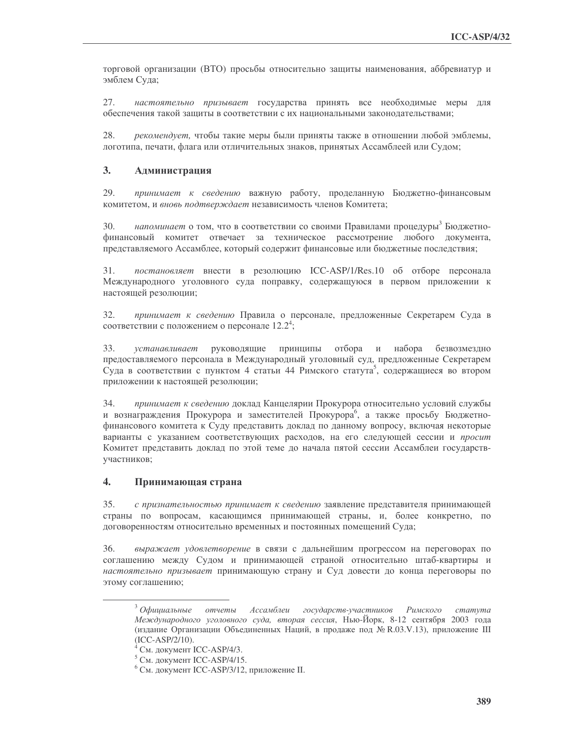торговой организации (ВТО) просьбы относительно защиты наименования, аббревиатур и эмблем Суда;

27. настоятельно призывает государства принять все необходимые меры для обеспечения такой защиты в соответствии с их национальными законодательствами;

28 рекомендует, чтобы такие меры были приняты также в отношении любой эмблемы, логотипа, печати, флага или отличительных знаков, принятых Ассамблеей или Судом;

#### 3. Администрация

29. принимает к сведению важную работу, проделанную Бюджетно-финансовым комитетом, и вновь подтверждает независимость членов Комитета;

30. напоминает о том, что в соответствии со своими Правилами процедуры<sup>3</sup> Бюджетнофинансовый комитет отвечает за техническое рассмотрение любого документа, представляемого Ассамблее, который содержит финансовые или бюджетные последствия;

постановляет внести в резолюцию ICC-ASP/1/Res.10 об отборе персонала 31. Международного уголовного суда поправку, содержащуюся в первом приложении к настоящей резолюции;

32. принимает к сведению Правила о персонале, предложенные Секретарем Суда в соответствии с положением о персонале 12.2<sup>4</sup>;

33. устанавливает руководящие принципы отбора  $\mathbf{M}$ набора безвозмездно предоставляемого персонала в Международный уголовный суд, предложенные Секретарем Суда в соответствии с пунктом 4 статьи 44 Римского статута<sup>5</sup>, содержащиеся во втором приложении к настоящей резолюции;

34. принимает к сведению доклад Канцелярии Прокурора относительно условий службы и вознаграждения Прокурора и заместителей Прокурора<sup>6</sup>, а также просьбу Бюджетнофинансового комитета к Суду представить доклад по данному вопросу, включая некоторые варианты с указанием соответствующих расходов, на его следующей сессии и просит Комитет представить доклад по этой теме до начала пятой сессии Ассамблеи государствучастников;

#### $\overline{4}$ . Принимающая страна

35. с признательностью принимает к сведению заявление представителя принимающей страны по вопросам, касающимся принимающей страны, и, более конкретно, по договоренностям относительно временных и постоянных помещений Суда;

36. выражает удовлетворение в связи с дальнейшим прогрессом на переговорах по соглашению между Судом и принимающей страной относительно штаб-квартиры и настоятельно призывает принимающую страну и Суд довести до конца переговоры по этому соглашению;

 $3$  Официальные отчеты Ассамблеи государств-участников Римского cmamyma Международного уголовного суда, вторая сессия, Нью-Йорк, 8-12 сентября 2003 года (издание Организации Объединенных Наций, в продаже под № R.03.V.13), приложение Ш  $(ICC-ASP/2/10)$ .

См. документ ICC-ASP/4/3.

 $5$  См. документ ICC-ASP/4/15.

<sup>&</sup>lt;sup>6</sup> См. документ ICC-ASP/3/12, приложение II.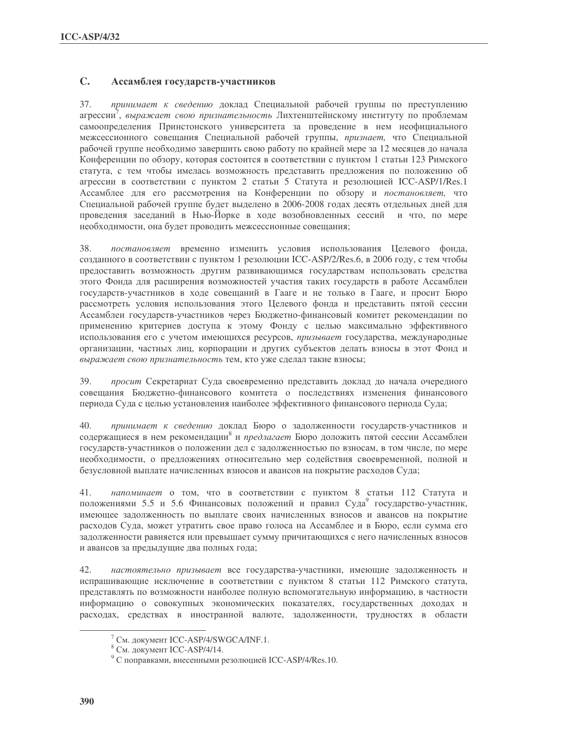#### $\mathbf{C}$ . Ассамблея государств-участников

37. принимает к сведению доклад Специальной рабочей группы по преступлению агрессии<sup>7</sup>, выражает свою признательность Лихтенштейнскому институту по проблемам самоопределения Принстонского университета за проведение в нем неофициального межсессионного совещания Специальной рабочей группы, признает, что Специальной рабочей группе необходимо завершить свою работу по крайней мере за 12 месяцев до начала Конференции по обзору, которая состоится в соответствии с пунктом 1 статьи 123 Римского статута, с тем чтобы имелась возможность представить предложения по положению об агрессии в соответствии с пунктом 2 статьи 5 Статута и резолюцией ICC-ASP/1/Res.1 Ассамблее для его рассмотрения на Конференции по обзору и постановляет, что Специальной рабочей группе будет выделено в 2006-2008 годах десять отдельных дней для проведения заседаний в Нью-Йорке в ходе возобновленных сессий и что, по мере необходимости, она будет проводить межсессионные совещания;

38. постановляет временно изменить условия использования Целевого фонда, созданного в соответствии с пунктом 1 резолюции ICC-ASP/2/Res.6, в 2006 году, с тем чтобы предоставить возможность другим развивающимся государствам использовать средства этого Фонда для расширения возможностей участия таких государств в работе Ассамблеи государств-участников в ходе совещаний в Гааге и не только в Гааге, и просит Бюро рассмотреть условия использования этого Целевого фонда и представить пятой сессии Ассамблеи государств-участников через Бюджетно-финансовый комитет рекомендации по применению критериев доступа к этому Фонду с целью максимально эффективного использования его с учетом имеющихся ресурсов, призывает государства, международные организации, частных лиц, корпорации и других субъектов делать взносы в этот Фонд и выражает свою признательность тем, кто уже сделал такие взносы;

39. просит Секретариат Суда своевременно представить доклад до начала очередного совещания Бюджетно-финансового комитета о последствиях изменения финансового периода Суда с целью установления наиболее эффективного финансового периода Суда;

40. принимает к сведению доклад Бюро о задолженности государств-участников и содержащиеся в нем рекомендации<sup>8</sup> и предлагает Бюро доложить пятой сессии Ассамблеи государств-участников о положении дел с задолженностью по взносам, в том числе, по мере необходимости, о предложениях относительно мер содействия своевременной, полной и безусловной выплате начисленных взносов и авансов на покрытие расходов Суда;

напоминает о том, что в соответствии с пунктом 8 статьи 112 Статута и 41. положениями 5.5 и 5.6 Финансовых положений и правил Суда<sup>9</sup> государство-участник, имеющее задолженность по выплате своих начисленных взносов и авансов на покрытие расходов Суда, может утратить свое право голоса на Ассамблее и в Бюро, если сумма его задолженности равняется или превышает сумму причитающихся с него начисленных взносов и авансов за предыдущие два полных года;

настоятельно призывает все государства-участники, имеющие задолженность и 42. испрашивающие исключение в соответствии с пунктом 8 статьи 112 Римского статута, представлять по возможности наиболее полную вспомогательную информацию, в частности информацию о совокупных экономических показателях, государственных доходах и расходах, средствах в иностранной валюте, задолженности, трудностях в области

 $\frac{7}{1}$ См. документ ICC-ASP/4/SWGCA/INF.1.

 $8$  См. документ ICC-ASP/4/14.

<sup>&</sup>lt;sup>9</sup> С поправками, внесенными резолюцией ICC-ASP/4/Res.10.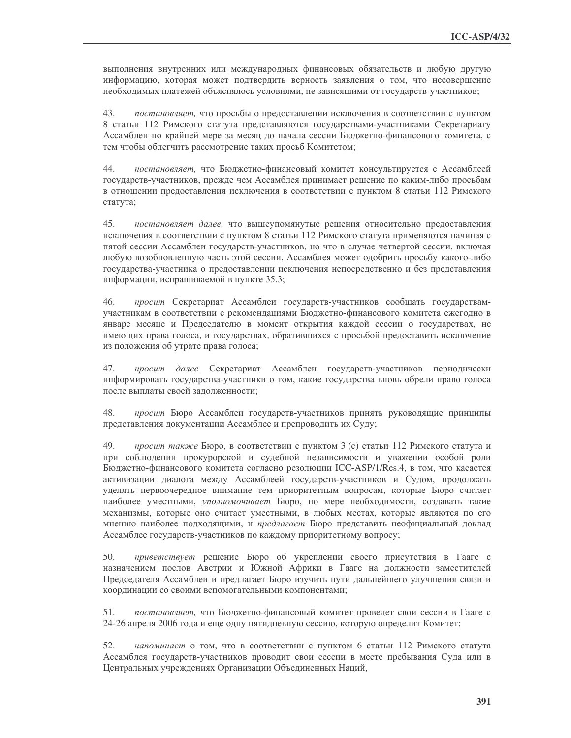выполнения внутренних или международных финансовых обязательств и любую другую информацию, которая может подтвердить верность заявления о том, что несовершение необходимых платежей объяснялось условиями, не зависящими от государств-участников;

постановляет, что просьбы о предоставлении исключения в соответствии с пунктом 43. 8 статьи 112 Римского статута представляются государствами-участниками Секретариату Ассамблеи по крайней мере за месяц до начала сессии Бюджетно-финансового комитета, с тем чтобы облегчить рассмотрение таких просьб Комитетом;

44. постановляет, что Бюджетно-финансовый комитет консультируется с Ассамблеей государств-участников, прежде чем Ассамблея принимает решение по каким-либо просьбам в отношении предоставления исключения в соответствии с пунктом 8 статьи 112 Римского статута;

45. постановляет далее, что вышеупомянутые решения относительно предоставления исключения в соответствии с пунктом 8 статьи 112 Римского статута применяются начиная с пятой сессии Ассамблеи государств-участников, но что в случае четвертой сессии, включая любую возобновленную часть этой сессии, Ассамблея может одобрить просьбу какого-либо государства-участника о предоставлении исключения непосредственно и без представления информации, испрашиваемой в пункте 35.3;

46. просит Секретариат Ассамблеи государств-участников сообщать государствамучастникам в соответствии с рекомендациями Бюджетно-финансового комитета ежегодно в январе месяце и Председателю в момент открытия каждой сессии о государствах, не имеющих права голоса, и государствах, обратившихся с просьбой предоставить исключение из положения об утрате права голоса;

47. просит далее Секретариат Ассамблеи государств-участников периодически информировать государства-участники о том, какие государства вновь обрели право голоса после выплаты своей задолженности;

48. просит Бюро Ассамблеи государств-участников принять руководящие принципы представления документации Ассамблее и препроводить их Суду;

просит также Бюро, в соответствии с пунктом 3 (с) статьи 112 Римского статута и 49. при соблюдении прокурорской и судебной независимости и уважении особой роли Бюджетно-финансового комитета согласно резолюции ICC-ASP/1/Res.4, в том, что касается активизации диалога между Ассамблеей государств-участников и Судом, продолжать уделять первоочередное внимание тем приоритетным вопросам, которые Бюро считает наиболее уместными, уполномочивает Бюро, по мере необходимости, создавать такие механизмы, которые оно считает уместными, в любых местах, которые являются по его мнению наиболее подходящими, и предлагает Бюро представить неофициальный доклад Ассамблее государств-участников по каждому приоритетному вопросу;

 $50.$ приветствует решение Бюро об укреплении своего присутствия в Гааге с назначением послов Австрии и Южной Африки в Гааге на должности заместителей Председателя Ассамблеи и предлагает Бюро изучить пути дальнейшего улучшения связи и координации со своими вспомогательными компонентами;

постановляет, что Бюджетно-финансовый комитет проведет свои сессии в Гааге с 51. 24-26 апреля 2006 года и еще одну пятидневную сессию, которую определит Комитет;

52. напоминает о том, что в соответствии с пунктом 6 статьи 112 Римского статута Ассамблея государств-участников проводит свои сессии в месте пребывания Суда или в Центральных учреждениях Организации Объединенных Наций,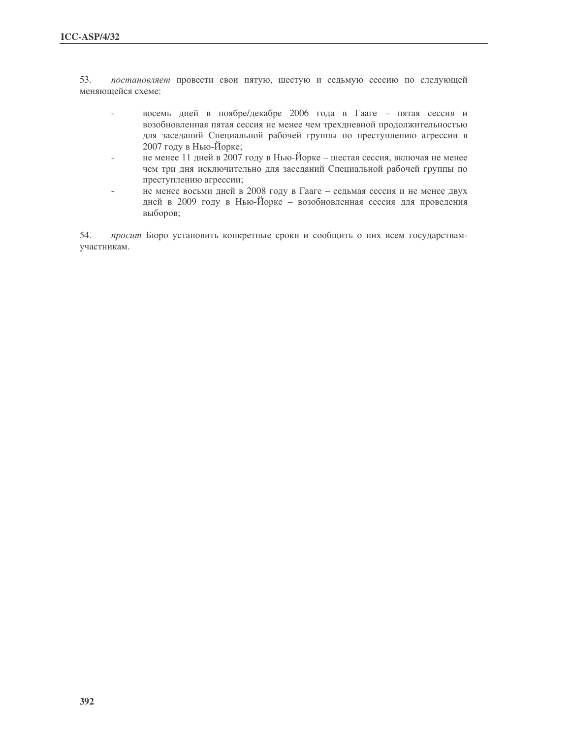53. постановляет провести свои пятую, шестую и седьмую сессию по следующей меняющейся схеме:

- восемь дней в ноябре/декабре 2006 года в Гааге пятая сессия и возобновленная пятая сессия не менее чем трехдневной продолжительностью для заседаний Специальной рабочей группы по преступлению агрессии в 2007 году в Нью-Йорке;
- не менее 11 дней в 2007 году в Нью-Йорке шестая сессия, включая не менее чем три дня исключительно для заседаний Специальной рабочей группы по преступлению агрессии;
- не менее восьми дней в 2008 году в Гааге седьмая сессия и не менее двух дней в 2009 году в Нью-Йорке – возобновленная сессия для проведения выборов;

54. осит Бюро установить конкретные сроки и сообщить о них всем государствамучастникам.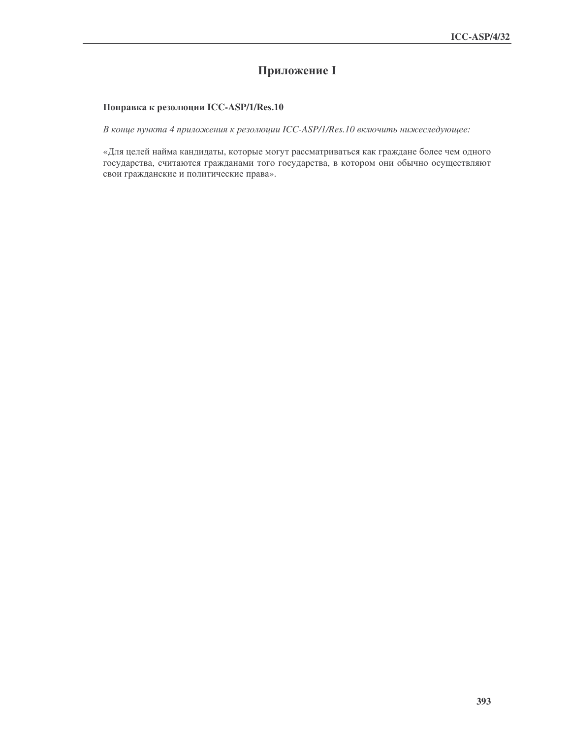# **Приложение I**

# Поправка к резолюции ICC-ASP/1/Res.10

В конце пункта 4 приложения к резолюции ICC-ASP/1/Res.10 включить нижеследующее:

«Для целей найма кандидаты, которые могут рассматриваться как граждане более чем одного государства, считаются гражданами того государства, в котором они обычно осуществляют свои гражданские и политические права».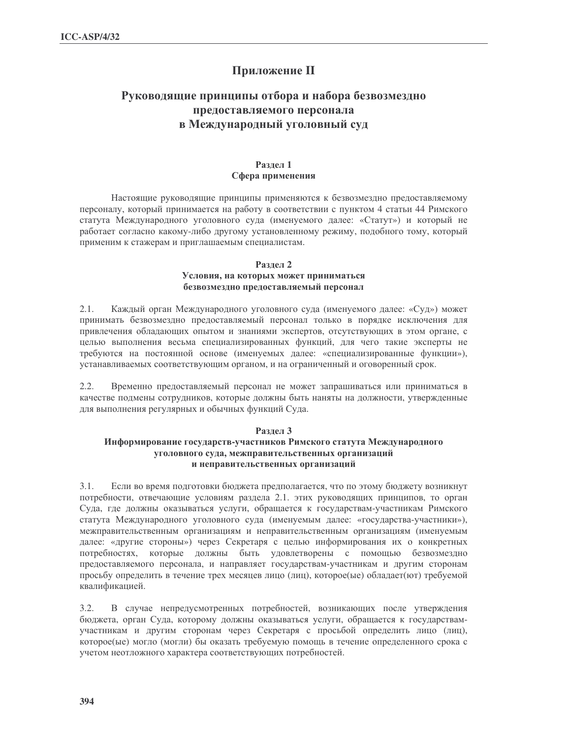# Приложение II

# Руководящие принципы отбора и набора безвозмездно предоставляемого персонала в Международный уголовный суд

### Разлел 1 Сфера применения

Настоящие руководящие принципы применяются к безвозмездно предоставляемому персоналу, который принимается на работу в соответствии с пунктом 4 статьи 44 Римского статута Международного уголовного суда (именуемого далее: «Статут») и который не работает согласно какому-либо другому установленному режиму, подобного тому, который применим к стажерам и приглашаемым специалистам.

# Разлел 2

### Условия, на которых может приниматься безвозмездно предоставляемый персонал

 $2.1.$ Каждый орган Международного уголовного суда (именуемого далее: «Суд») может принимать безвозмездно предоставляемый персонал только в порядке исключения для привлечения обладающих опытом и знаниями экспертов, отсутствующих в этом органе, с целью выполнения весьма специализированных функций, для чего такие эксперты не требуются на постоянной основе (именуемых далее: «специализированные функции»), устанавливаемых соответствующим органом, и на ограниченный и оговоренный срок.

 $2.2.$ Временно предоставляемый персонал не может запрашиваться или приниматься в качестве подмены сотрудников, которые должны быть наняты на должности, утвержденные для выполнения регулярных и обычных функций Суда.

#### Раздел 3

# Информирование государств-участников Римского статута Международного уголовного суда, межправительственных организаций и неправительственных организаций

 $3.1.$ Если во время подготовки бюджета предполагается, что по этому бюджету возникнут потребности, отвечающие условиям раздела 2.1. этих руководящих принципов, то орган Суда, где должны оказываться услуги, обращается к государствам-участникам Римского статута Международного уголовного суда (именуемым далее: «государства-участники»), межправительственным организациям и неправительственным организациям (именуемым далее: «другие стороны») через Секретаря с целью информирования их о конкретных потребностях, которые должны быть удовлетворены с помощью безвозмездно предоставляемого персонала, и направляет государствам-участникам и другим сторонам просьбу определить в течение трех месяцев лицо (лиц), которое(ые) обладает(ют) требуемой квалификацией.

 $3.2.$ В случае непредусмотренных потребностей, возникающих после утверждения бюджета, орган Суда, которому должны оказываться услуги, обращается к государствамучастникам и другим сторонам через Секретаря с просьбой определить лицо (лиц), которое(ые) могло (могли) бы оказать требуемую помощь в течение определенного срока с учетом неотложного характера соответствующих потребностей.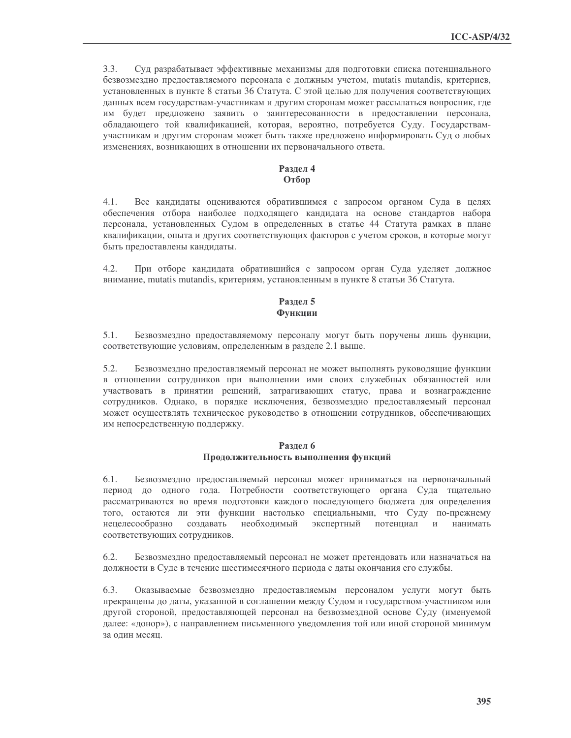$3.3.$ Суд разрабатывает эффективные механизмы для подготовки списка потенциального безвозмездно предоставляемого персонала с должным учетом, mutatis mutandis, критериев, установленных в пункте 8 статьи 36 Статута. С этой целью для получения соответствующих данных всем государствам-участникам и другим сторонам может рассылаться вопросник, где им будет предложено заявить о заинтересованности в предоставлении персонала, обладающего той квалификацией, которая, вероятно, потребуется Суду. Государствамучастникам и другим сторонам может быть также предложено информировать Суд о любых изменениях, возникающих в отношении их первоначального ответа.

### Раздел 4 Отбор

 $4.1.$ Все кандидаты оцениваются обратившимся с запросом органом Суда в целях обеспечения отбора наиболее подходящего кандидата на основе стандартов набора персонала, установленных Судом в определенных в статье 44 Статута рамках в плане квалификации, опыта и других соответствующих факторов с учетом сроков, в которые могут быть предоставлены кандидаты.

 $4.2.$ При отборе кандидата обратившийся с запросом орган Суда уделяет должное внимание, mutatis mutandis, критериям, установленным в пункте 8 статьи 36 Статута.

### Разлел 5 Функции

 $5.1.$ Безвозмездно предоставляемому персоналу могут быть поручены лишь функции, соответствующие условиям, определенным в разделе 2.1 выше.

5.2. Безвозмездно предоставляемый персонал не может выполнять руководящие функции в отношении сотрудников при выполнении ими своих служебных обязанностей или участвовать в принятии решений, затрагивающих статус, права и вознаграждение сотрудников. Однако, в порядке исключения, безвозмездно предоставляемый персонал может осуществлять техническое руководство в отношении сотрудников, обеспечивающих им непосредственную поддержку.

### Раздел 6 Продолжительность выполнения функций

 $6.1.$ Безвозмездно предоставляемый персонал может приниматься на первоначальный период до одного года. Потребности соответствующего органа Суда тщательно рассматриваются во время подготовки каждого последующего бюджета для определения того, остаются ли эти функции настолько специальными, что Суду по-прежнему нецелесообразно создавать необходимый экспертный потенциал  $\mathbf{M}$ нанимать соответствующих сотрудников.

 $6.2.$ Безвозмездно предоставляемый персонал не может претендовать или назначаться на должности в Суде в течение шестимесячного периода с даты окончания его службы.

6.3. Оказываемые безвозмездно предоставляемым персоналом услуги могут быть прекращены до даты, указанной в соглашении между Судом и государством-участником или другой стороной, предоставляющей персонал на безвозмездной основе Суду (именуемой далее: «донор»), с направлением письменного уведомления той или иной стороной минимум за олин месян.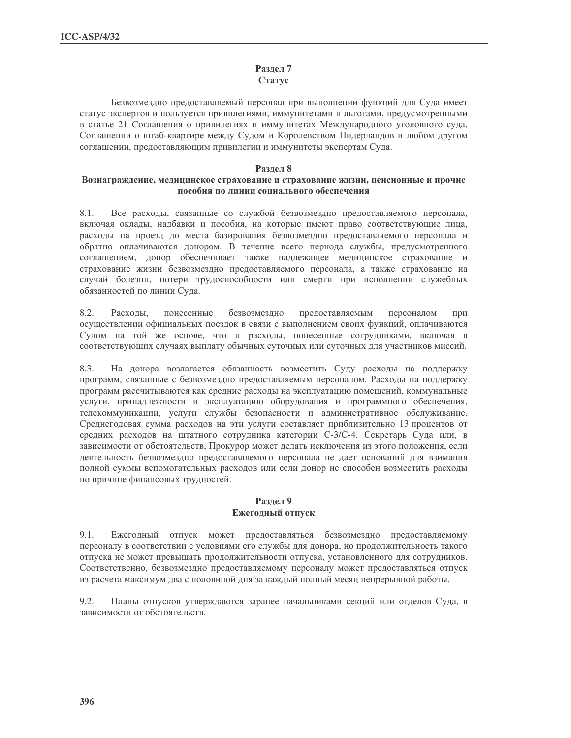# Разлел 7 Статус

Безвозмездно предоставляемый персонал при выполнении функций для Суда имеет статус экспертов и пользуется привилегиями, иммунитетами и льготами, предусмотренными в статье 21 Соглашения о привилегиях и иммунитетах Международного уголовного суда, Соглашении о штаб-квартире между Судом и Королевством Нидерландов и любом другом соглашении, предоставляющим привилегии и иммунитеты экспертам Суда.

#### Раздел 8

## Вознаграждение, медицинское страхование и страхование жизни, пенсионные и прочие пособия по линии социального обеспечения

8.1. Все расходы, связанные со службой безвозмездно предоставляемого персонала, включая оклады, надбавки и пособия, на которые имеют право соответствующие лица, расходы на проезд до места базирования безвозмездно предоставляемого персонала и обратно оплачиваются донором. В течение всего периода службы, предусмотренного соглашением, донор обеспечивает также надлежащее медицинское страхование и страхование жизни безвозмездно предоставляемого персонала, а также страхование на случай болезни, потери трудоспособности или смерти при исполнении служебных обязанностей по линии Суда.

безвозмездно 8.2. Расходы, понесенные предоставляемым персоналом при осуществлении официальных поездок в связи с выполнением своих функций, оплачиваются Судом на той же основе, что и расходы, понесенные сотрудниками, включая в соответствующих случаях выплату обычных суточных или суточных для участников миссий.

На донора возлагается обязанность возместить Суду расходы на поддержку 8.3. программ, связанные с безвозмездно предоставляемым персоналом. Расходы на поддержку программ рассчитываются как средние расходы на эксплуатацию помещений, коммунальные услуги, принадлежности и эксплуатацию оборудования и программного обеспечения, телекоммуникации, услуги службы безопасности и административное обслуживание. Среднегодовая сумма расходов на эти услуги составляет приблизительно 13 процентов от средних расходов на штатного сотрудника категории С-3/С-4. Секретарь Суда или, в зависимости от обстоятельств, Прокурор может делать исключения из этого положения, если деятельность безвозмездно предоставляемого персонала не дает оснований для взимания полной суммы вспомогательных расходов или если донор не способен возместить расходы по причине финансовых трудностей.

### Разлел 9 Ежегодный отпуск

Ежегодный отпуск может предоставляться безвозмездно предоставляемому 9.1. персоналу в соответствии с условиями его службы для донора, но продолжительность такого отпуска не может превышать продолжительности отпуска, установленного для сотрудников. Соответственно, безвозмездно предоставляемому персоналу может предоставляться отпуск из расчета максимум два с половиной дня за каждый полный месяц непрерывной работы.

 $9.2.$ Планы отпусков утверждаются заранее начальниками секций или отделов Суда, в зависимости от обстоятельств.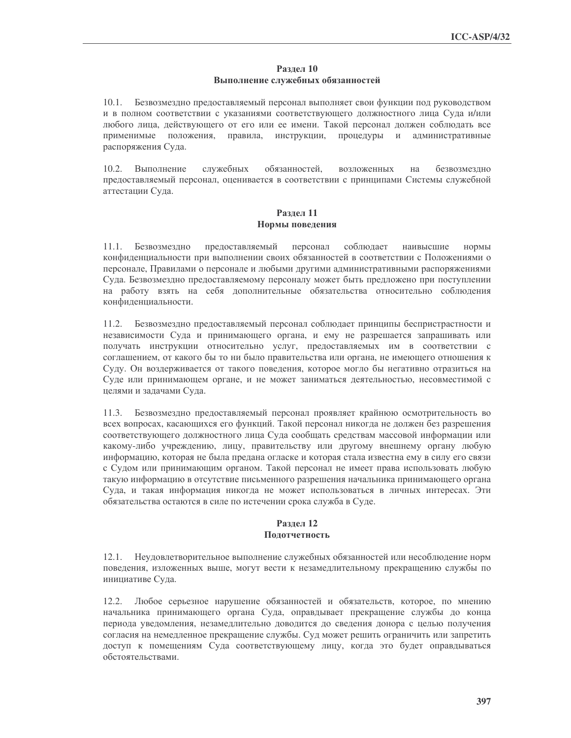### Разлел 10 Выполнение служебных обязанностей

10.1. Безвозмездно предоставляемый персонал выполняет свои функции под руководством и в полном соответствии с указаниями соответствующего должностного лица Суда и/или любого лица, действующего от его или ее имени. Такой персонал должен соблюдать все применимые положения, правила, инструкции, процедуры и административные распоряжения Суда.

Выполнение  $10.2.$ служебных обязанностей, возложенных на безвозмездно предоставляемый персонал, оценивается в соответствии с принципами Системы служебной аттестации Суда.

#### Раздел 11 Нормы поведения

Безвозмездно  $11.1.$ предоставляемый персонал соблюдает наивысшие нормы конфиденциальности при выполнении своих обязанностей в соответствии с Положениями о персонале, Правилами о персонале и любыми другими административными распоряжениями Суда. Безвозмездно предоставляемому персоналу может быть предложено при поступлении на работу взять на себя дополнительные обязательства относительно соблюдения конфиденциальности.

11.2. Безвозмездно предоставляемый персонал соблюдает принципы беспристрастности и независимости Суда и принимающего органа, и ему не разрешается запрашивать или получать инструкции относительно услуг, предоставляемых им в соответствии с соглашением, от какого бы то ни было правительства или органа, не имеющего отношения к Суду. Он воздерживается от такого поведения, которое могло бы негативно отразиться на Суде или принимающем органе, и не может заниматься деятельностью, несовместимой с целями и задачами Суда.

 $11.3.$ Безвозмездно предоставляемый персонал проявляет крайнюю осмотрительность во всех вопросах, касающихся его функций. Такой персонал никогда не должен без разрешения соответствующего должностного лица Суда сообщать средствам массовой информации или какому-либо учреждению, лицу, правительству или другому внешнему органу любую информацию, которая не была предана огласке и которая стала известна ему в силу его связи с Судом или принимающим органом. Такой персонал не имеет права использовать любую такую информацию в отсутствие письменного разрешения начальника принимающего органа Суда, и такая информация никогда не может использоваться в личных интересах. Эти обязательства остаются в силе по истечении срока служба в Суде.

## Разлел 12 Подотчетность

Неудовлетворительное выполнение служебных обязанностей или несоблюдение норм  $12.1.$ поведения, изложенных выше, могут вести к незамедлительному прекращению службы по инициативе Суда.

12.2. Любое серьезное нарушение обязанностей и обязательств, которое, по мнению начальника принимающего органа Суда, оправдывает прекращение службы до конца периода уведомления, незамедлительно доводится до сведения донора с целью получения согласия на немедленное прекращение службы. Суд может решить ограничить или запретить доступ к помещениям Суда соответствующему лицу, когда это будет оправдываться обстоятельствами.